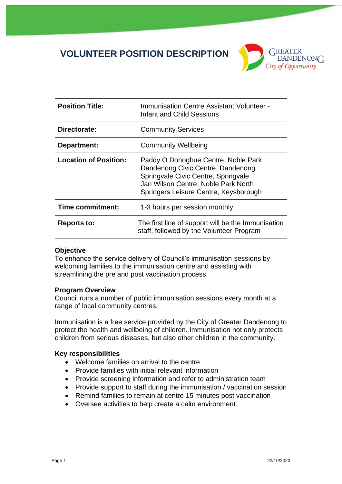# **VOLUNTEER POSITION DESCRIPTION**



| <b>Position Title:</b>       | Immunisation Centre Assistant Volunteer -<br>Infant and Child Sessions                                                                                                                          |
|------------------------------|-------------------------------------------------------------------------------------------------------------------------------------------------------------------------------------------------|
| Directorate:                 | <b>Community Services</b>                                                                                                                                                                       |
| Department:                  | <b>Community Wellbeing</b>                                                                                                                                                                      |
| <b>Location of Position:</b> | Paddy O Donoghue Centre, Noble Park<br>Dandenong Civic Centre, Dandenong<br>Springvale Civic Centre, Springvale<br>Jan Wilson Centre, Noble Park North<br>Springers Leisure Centre, Keysborough |
| Time commitment:             | 1-3 hours per session monthly                                                                                                                                                                   |
| <b>Reports to:</b>           | The first line of support will be the Immunisation<br>staff, followed by the Volunteer Program                                                                                                  |

# **Objective**

To enhance the service delivery of Council's immunisation sessions by welcoming families to the immunisation centre and assisting with streamlining the pre and post vaccination process.

# **Program Overview**

Council runs a number of public immunisation sessions every month at a range of local community centres.

Immunisation is a free service provided by the City of Greater Dandenong to protect the health and wellbeing of children. Immunisation not only protects children from serious diseases, but also other children in the community.

# **Key responsibilities**

- Welcome families on arrival to the centre
- Provide families with initial relevant information
- Provide screening information and refer to administration team
- Provide support to staff during the immunisation / vaccination session
- Remind families to remain at centre 15 minutes post vaccination
- Oversee activities to help create a calm environment.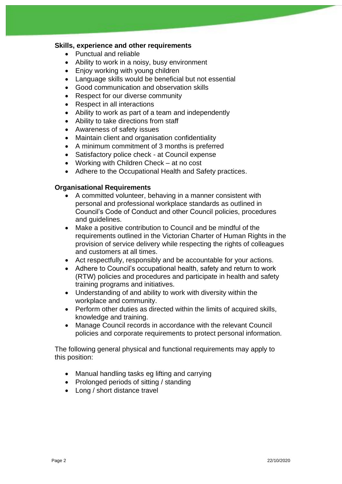# **Skills, experience and other requirements**

- Punctual and reliable
- Ability to work in a noisy, busy environment
- Enjoy working with young children
- Language skills would be beneficial but not essential
- Good communication and observation skills
- Respect for our diverse community
- Respect in all interactions
- Ability to work as part of a team and independently
- Ability to take directions from staff
- Awareness of safety issues
- Maintain client and organisation confidentiality
- A minimum commitment of 3 months is preferred
- Satisfactory police check at Council expense
- Working with Children Check at no cost
- Adhere to the Occupational Health and Safety practices.

# **Organisational Requirements**

- A committed volunteer, behaving in a manner consistent with personal and professional workplace standards as outlined in Council's Code of Conduct and other Council policies, procedures and guidelines.
- Make a positive contribution to Council and be mindful of the requirements outlined in the Victorian Charter of Human Rights in the provision of service delivery while respecting the rights of colleagues and customers at all times.
- Act respectfully, responsibly and be accountable for your actions.
- Adhere to Council's occupational health, safety and return to work (RTW) policies and procedures and participate in health and safety training programs and initiatives.
- Understanding of and ability to work with diversity within the workplace and community.
- Perform other duties as directed within the limits of acquired skills, knowledge and training.
- Manage Council records in accordance with the relevant Council policies and corporate requirements to protect personal information.

The following general physical and functional requirements may apply to this position:

- Manual handling tasks eg lifting and carrying
- Prolonged periods of sitting / standing
- Long / short distance travel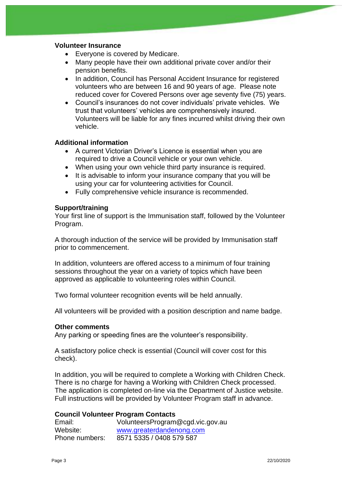# **Volunteer Insurance**

- Everyone is covered by Medicare.
- Many people have their own additional private cover and/or their pension benefits.
- In addition, Council has Personal Accident Insurance for registered volunteers who are between 16 and 90 years of age. Please note reduced cover for Covered Persons over age seventy five (75) years.
- Council's insurances do not cover individuals' private vehicles. We trust that volunteers' vehicles are comprehensively insured. Volunteers will be liable for any fines incurred whilst driving their own vehicle.

# **Additional information**

- A current Victorian Driver's Licence is essential when you are required to drive a Council vehicle or your own vehicle.
- When using your own vehicle third party insurance is required.
- It is advisable to inform your insurance company that you will be using your car for volunteering activities for Council.
- Fully comprehensive vehicle insurance is recommended.

# **Support/training**

Your first line of support is the Immunisation staff, followed by the Volunteer Program.

A thorough induction of the service will be provided by Immunisation staff prior to commencement.

In addition, volunteers are offered access to a minimum of four training sessions throughout the year on a variety of topics which have been approved as applicable to volunteering roles within Council.

Two formal volunteer recognition events will be held annually.

All volunteers will be provided with a position description and name badge.

# **Other comments**

Any parking or speeding fines are the volunteer's responsibility.

A satisfactory police check is essential (Council will cover cost for this check).

In addition, you will be required to complete a Working with Children Check. There is no charge for having a Working with Children Check processed. The application is completed on-line via the Department of Justice website. Full instructions will be provided by Volunteer Program staff in advance.

# **Council Volunteer Program Contacts**

| Email:         | VolunteersProgram@cgd.vic.gov.au |
|----------------|----------------------------------|
| Website:       | www.greaterdandenong.com         |
| Phone numbers: | 8571 5335 / 0408 579 587         |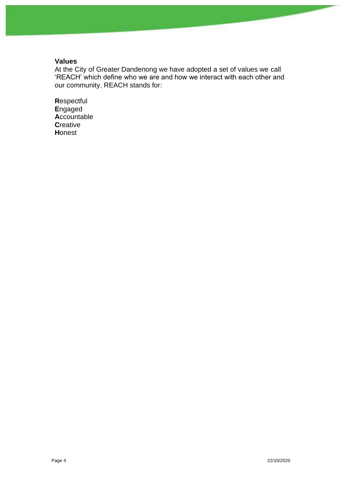# **Values**

At the City of Greater Dandenong we have adopted a set of values we call 'REACH' which define who we are and how we interact with each other and our community. REACH stands for:

Respectful Engaged Accountable **Creative** Honest